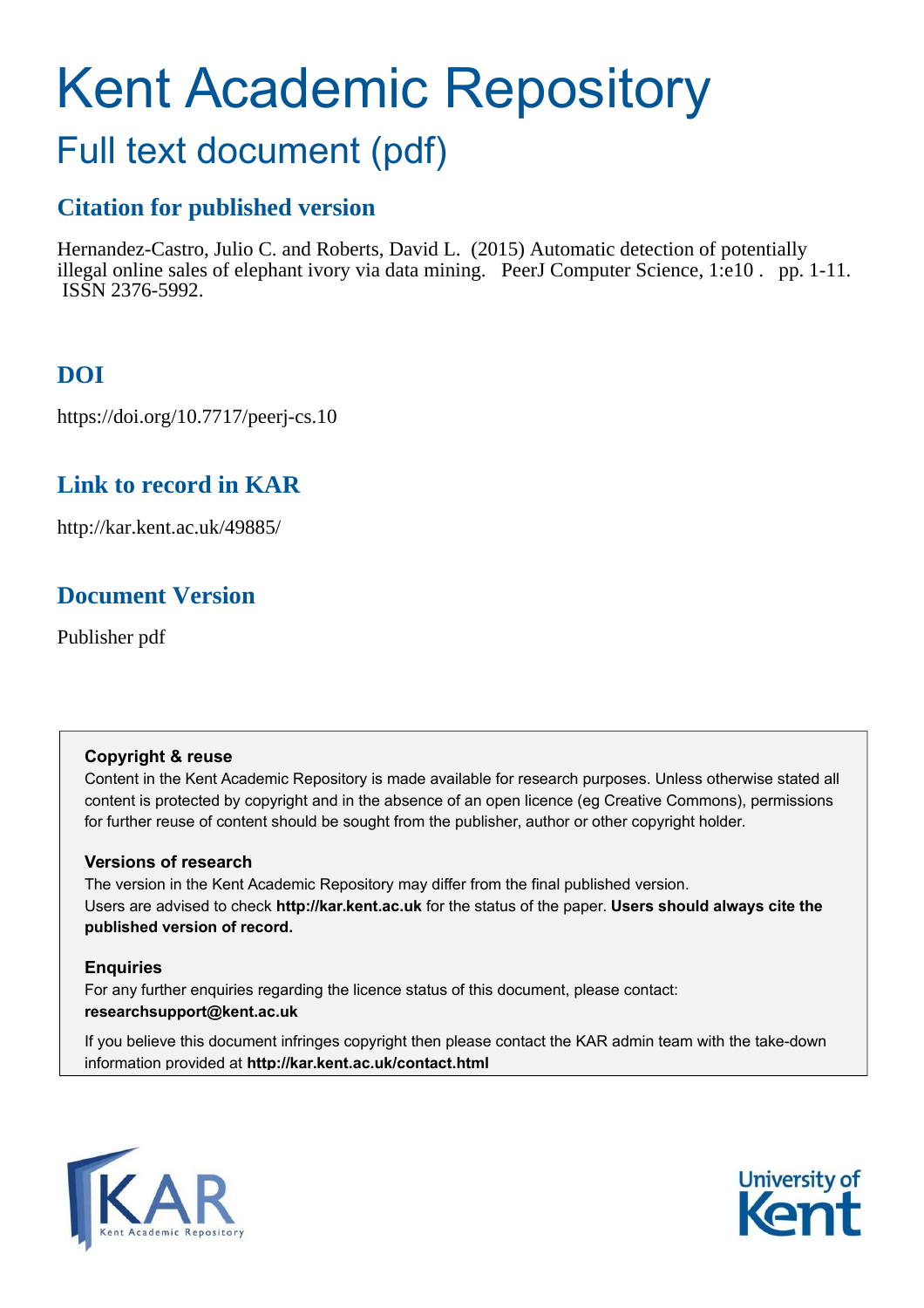# Kent Academic Repository

# Full text document (pdf)

## **Citation for published version**

Hernandez-Castro, Julio C. and Roberts, David L. (2015) Automatic detection of potentially illegal online sales of elephant ivory via data mining. PeerJ Computer Science, 1:e10 . pp. 1-11. ISSN 2376-5992.

## **DOI**

https://doi.org/10.7717/peerj-cs.10

## **Link to record in KAR**

http://kar.kent.ac.uk/49885/

## **Document Version**

Publisher pdf

#### **Copyright & reuse**

Content in the Kent Academic Repository is made available for research purposes. Unless otherwise stated all content is protected by copyright and in the absence of an open licence (eg Creative Commons), permissions for further reuse of content should be sought from the publisher, author or other copyright holder.

#### **Versions of research**

The version in the Kent Academic Repository may differ from the final published version. Users are advised to check **http://kar.kent.ac.uk** for the status of the paper. **Users should always cite the published version of record.**

#### **Enquiries**

For any further enquiries regarding the licence status of this document, please contact: **researchsupport@kent.ac.uk**

If you believe this document infringes copyright then please contact the KAR admin team with the take-down information provided at **http://kar.kent.ac.uk/contact.html**



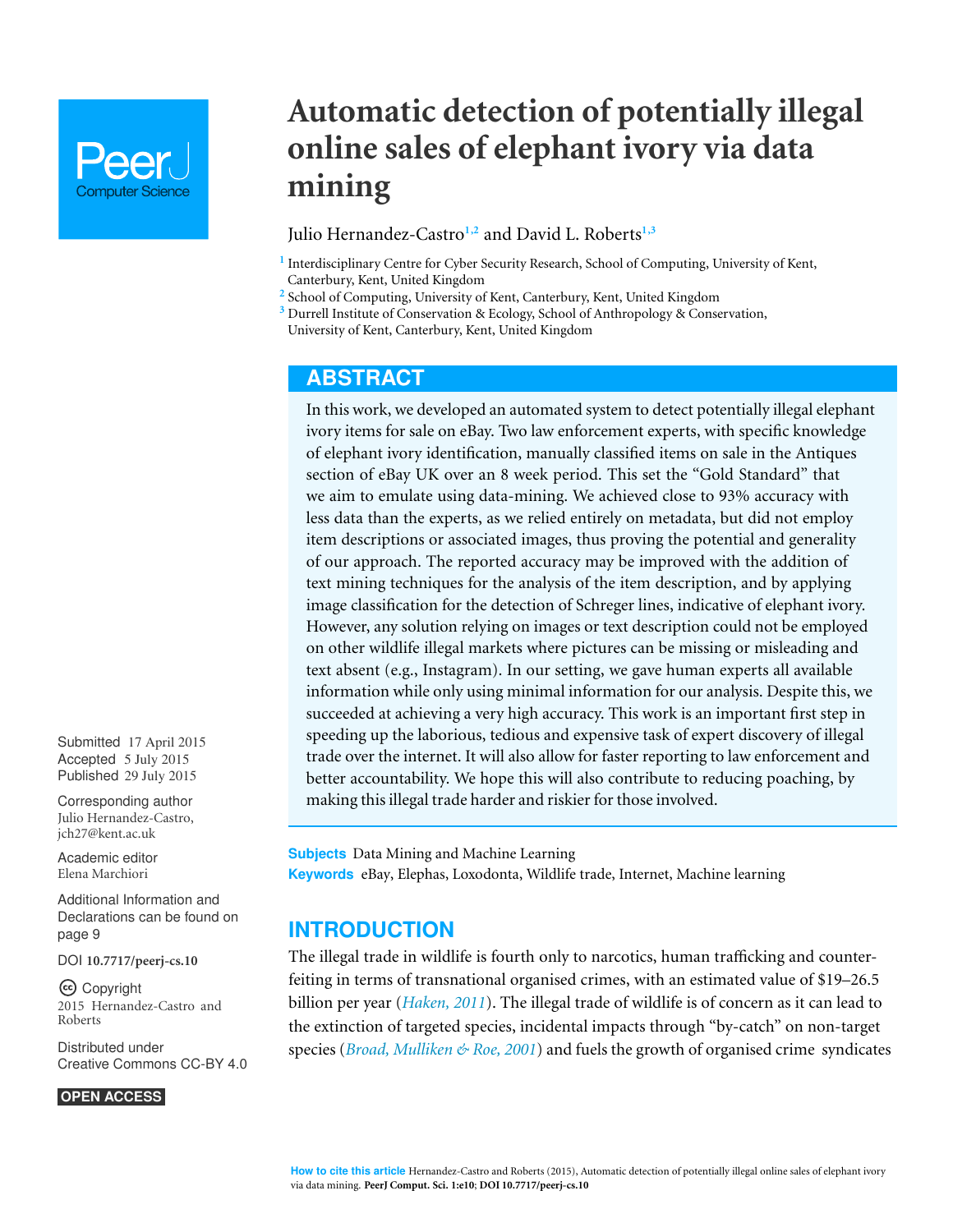## <span id="page-1-0"></span>**Automatic detection of potentially illegal online sales of elephant ivory via data mining**

#### Julio Hernandez-Castro**1,2** and David L. Roberts**1,3**

- <sup>1</sup> Interdisciplinary Centre for Cyber Security Research, School of Computing, University of Kent, Canterbury, Kent, United Kingdom
- **2** School of Computing, University of Kent, Canterbury, Kent, United Kingdom
- <span id="page-1-1"></span>**<sup>3</sup>** Durrell Institute of Conservation & Ecology, School of Anthropology & Conservation, University of Kent, Canterbury, Kent, United Kingdom

### **ABSTRACT**

In this work, we developed an automated system to detect potentially illegal elephant ivory items for sale on eBay. Two law enforcement experts, with specific knowledge of elephant ivory identification, manually classified items on sale in the Antiques section of eBay UK over an 8 week period. This set the "Gold Standard" that we aim to emulate using data-mining. We achieved close to 93% accuracy with less data than the experts, as we relied entirely on metadata, but did not employ item descriptions or associated images, thus proving the potential and generality of our approach. The reported accuracy may be improved with the addition of text mining techniques for the analysis of the item description, and by applying image classification for the detection of Schreger lines, indicative of elephant ivory. However, any solution relying on images or text description could not be employed on other wildlife illegal markets where pictures can be missing or misleading and text absent (e.g., Instagram). In our setting, we gave human experts all available information while only using minimal information for our analysis. Despite this, we succeeded at achieving a very high accuracy. This work is an important first step in speeding up the laborious, tedious and expensive task of expert discovery of illegal trade over the internet. It will also allow for faster reporting to law enforcement and better accountability. We hope this will also contribute to reducing poaching, by making this illegal trade harder and riskier for those involved.

**Subjects** Data Mining and Machine Learning **Keywords** eBay, Elephas, Loxodonta, Wildlife trade, Internet, Machine learning

## **INTRODUCTION**

The illegal trade in wildlife is fourth only to narcotics, human trafficking and counterfeiting in terms of transnational organised crimes, with an estimated value of \$19–26.5 billion per year (*[Haken, 2011](#page-9-0)*). The illegal trade of wildlife is of concern as it can lead to the extinction of targeted species, incidental impacts through "by-catch" on non-target species (*[Broad, Mulliken & Roe, 2001](#page-9-1)*) and fuels the growth of organised crime syndicates

Submitted 17 April 2015 Accepted 5 July 2015 Published 29 July 2015

Corresponding author Julio Hernandez-Castro, [jch27@kent.ac.uk](mailto:jch27@kent.ac.uk)

[Academic editor](https://peerj.com/academic-boards/editors/) [Elena Marchiori](https://peerj.com/academic-boards/editors/)

[Additional Information and](#page-8-0) [Declarations can be found on](#page-8-0) [page 9](#page-8-0)

[DOI](http://dx.doi.org/10.7717/peerj-cs.10) **[10.7717/peerj-cs.10](http://dx.doi.org/10.7717/peerj-cs.10)**

Copyright 2015 Hernandez-Castro and Roberts

[Distributed under](http://creativecommons.org/licenses/by/4.0/) [Creative Commons CC-BY 4.0](http://creativecommons.org/licenses/by/4.0/)

#### **OPEN ACCESS**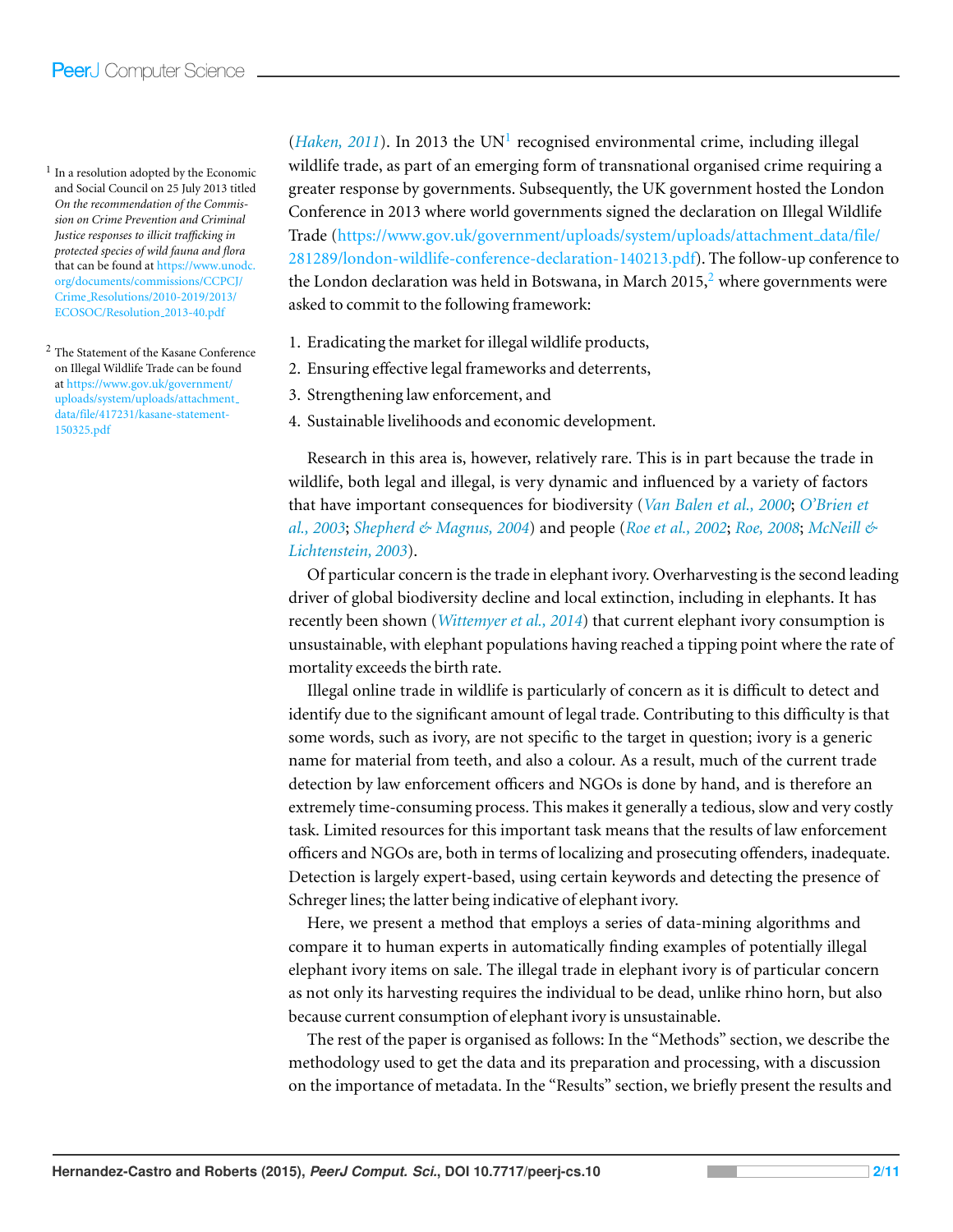<sup>1</sup> In a resolution adopted by the Economic and Social Council on 25 July 2013 titled *On the recommendation of the Commission on Crime Prevention and Criminal Justice responses to illicit trafficking in protected species of wild fauna and flora* that can be found at [https://www.unodc.](https://www.unodc.org/documents/commissions/CCPCJ/Crime_Resolutions/2010-2019/2013/ECOSOC/Resolution_2013-40.pdf) [org/documents/commissions/CCPCJ/](https://www.unodc.org/documents/commissions/CCPCJ/Crime_Resolutions/2010-2019/2013/ECOSOC/Resolution_2013-40.pdf) [Crime](https://www.unodc.org/documents/commissions/CCPCJ/Crime_Resolutions/2010-2019/2013/ECOSOC/Resolution_2013-40.pdf) [Resolutions/2010-2019/2013/](https://www.unodc.org/documents/commissions/CCPCJ/Crime_Resolutions/2010-2019/2013/ECOSOC/Resolution_2013-40.pdf) [ECOSOC/Resolution](https://www.unodc.org/documents/commissions/CCPCJ/Crime_Resolutions/2010-2019/2013/ECOSOC/Resolution_2013-40.pdf) [2013-40.pdf](https://www.unodc.org/documents/commissions/CCPCJ/Crime_Resolutions/2010-2019/2013/ECOSOC/Resolution_2013-40.pdf)

<sup>2</sup> The Statement of the Kasane Conference on Illegal Wildlife Trade can be found at [https://www.gov.uk/government/](https://www.gov.uk/government/uploads/system/uploads/attachment_data/file/417231/kasane-statement-150325.pdf) [uploads/system/uploads/attachment](https://www.gov.uk/government/uploads/system/uploads/attachment_data/file/417231/kasane-statement-150325.pdf) [data/file/417231/kasane-statement-](https://www.gov.uk/government/uploads/system/uploads/attachment_data/file/417231/kasane-statement-150325.pdf)[150325.pdf](https://www.gov.uk/government/uploads/system/uploads/attachment_data/file/417231/kasane-statement-150325.pdf)

(*Haken*, 20[1](#page-1-0)1). In 2013 the UN<sup>1</sup> recognised environmental crime, including illegal wildlife trade, as part of an emerging form of transnational organised crime requiring a greater response by governments. Subsequently, the UK government hosted the London Conference in 2013 where world governments signed the declaration on Illegal Wildlife Trade [\(https://www.gov.uk/government/uploads/system/uploads/attachment](https://www.gov.uk/government/uploads/system/uploads/attachment_data/file/281289/london-wildlife-conference-declaration-140213.pdf) [data/file/](https://www.gov.uk/government/uploads/system/uploads/attachment_data/file/281289/london-wildlife-conference-declaration-140213.pdf) [281289/london-wildlife-conference-declaration-140213.pdf\)](https://www.gov.uk/government/uploads/system/uploads/attachment_data/file/281289/london-wildlife-conference-declaration-140213.pdf). The follow-up conference to the London declaration was held in Botswana, in March [2](#page-1-1)015, $\frac{2}{3}$  where governments were asked to commit to the following framework:

- 1. Eradicating the market for illegal wildlife products,
- 2. Ensuring effective legal frameworks and deterrents,
- 3. Strengthening law enforcement, and
- 4. Sustainable livelihoods and economic development.

Research in this area is, however, relatively rare. This is in part because the trade in wildlife, both legal and illegal, is very dynamic and influenced by a variety of factors that have important consequences for biodiversity (*[Van Balen et al., 2000](#page-10-0)*; *[O'Brien et](#page-9-2) [al., 2003](#page-9-2)*; *[Shepherd & Magnus, 2004](#page-9-3)*) and people (*[Roe et al., 2002](#page-9-4)*; *[Roe, 2008](#page-9-5)*; *[McNeill &](#page-9-6) [Lichtenstein, 2003](#page-9-6)*).

Of particular concern is the trade in elephant ivory. Overharvesting is the second leading driver of global biodiversity decline and local extinction, including in elephants. It has recently been shown (*[Wittemyer et al., 2014](#page-10-1)*) that current elephant ivory consumption is unsustainable, with elephant populations having reached a tipping point where the rate of mortality exceeds the birth rate.

Illegal online trade in wildlife is particularly of concern as it is difficult to detect and identify due to the significant amount of legal trade. Contributing to this difficulty is that some words, such as ivory, are not specific to the target in question; ivory is a generic name for material from teeth, and also a colour. As a result, much of the current trade detection by law enforcement officers and NGOs is done by hand, and is therefore an extremely time-consuming process. This makes it generally a tedious, slow and very costly task. Limited resources for this important task means that the results of law enforcement officers and NGOs are, both in terms of localizing and prosecuting offenders, inadequate. Detection is largely expert-based, using certain keywords and detecting the presence of Schreger lines; the latter being indicative of elephant ivory.

Here, we present a method that employs a series of data-mining algorithms and compare it to human experts in automatically finding examples of potentially illegal elephant ivory items on sale. The illegal trade in elephant ivory is of particular concern as not only its harvesting requires the individual to be dead, unlike rhino horn, but also because current consumption of elephant ivory is unsustainable.

The rest of the paper is organised as follows: In the "Methods" section, we describe the methodology used to get the data and its preparation and processing, with a discussion on the importance of metadata. In the "Results" section, we briefly present the results and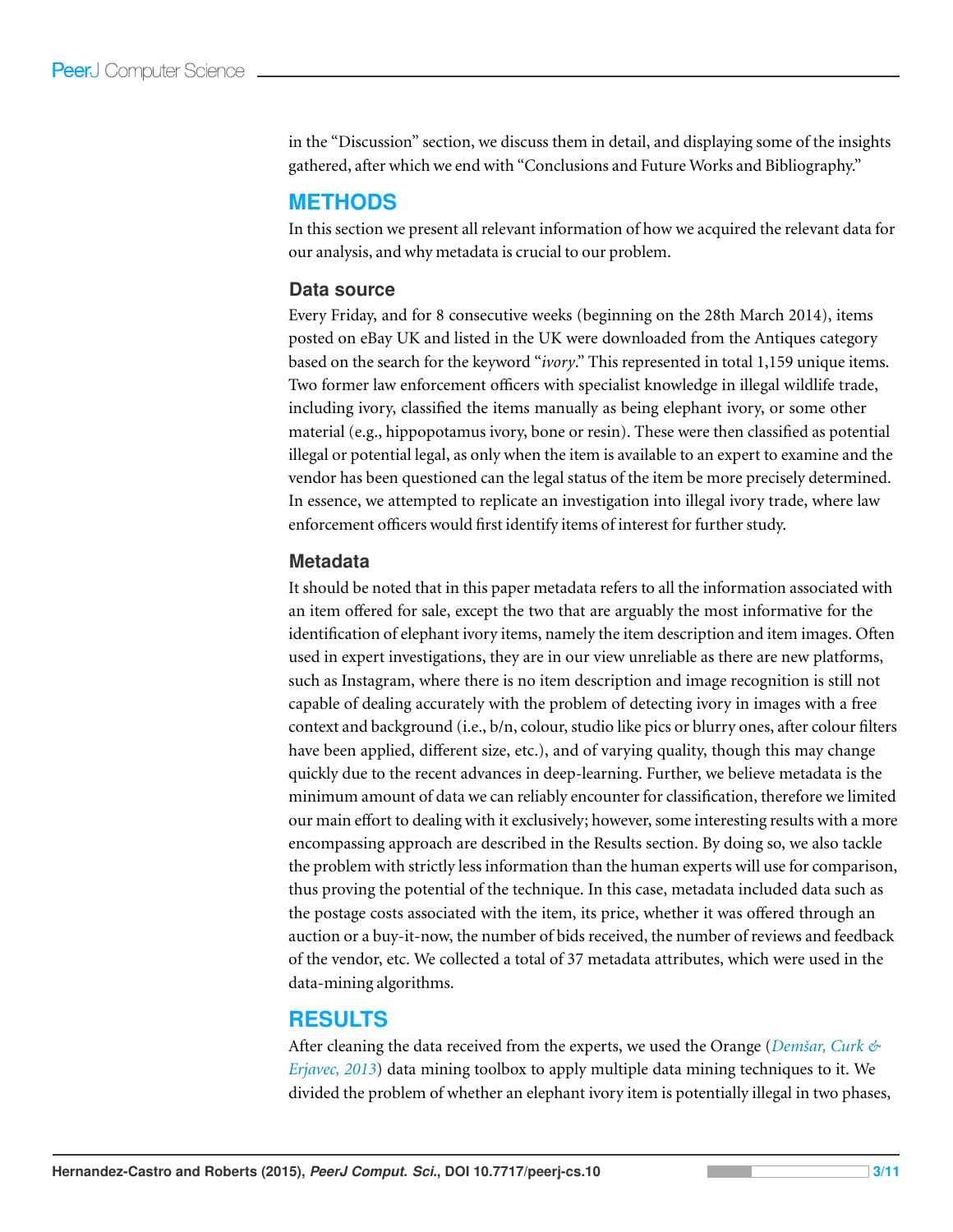<span id="page-3-0"></span>in the "Discussion" section, we discuss them in detail, and displaying some of the insights gathered, after which we end with "Conclusions and Future Works and Bibliography."

#### **METHODS**

In this section we present all relevant information of how we acquired the relevant data for our analysis, and why metadata is crucial to our problem.

#### **Data source**

Every Friday, and for 8 consecutive weeks (beginning on the 28th March 2014), items posted on eBay UK and listed in the UK were downloaded from the Antiques category based on the search for the keyword "*ivory*." This represented in total 1,159 unique items. Two former law enforcement officers with specialist knowledge in illegal wildlife trade, including ivory, classified the items manually as being elephant ivory, or some other material (e.g., hippopotamus ivory, bone or resin). These were then classified as potential illegal or potential legal, as only when the item is available to an expert to examine and the vendor has been questioned can the legal status of the item be more precisely determined. In essence, we attempted to replicate an investigation into illegal ivory trade, where law enforcement officers would first identify items of interest for further study.

#### **Metadata**

It should be noted that in this paper metadata refers to all the information associated with an item offered for sale, except the two that are arguably the most informative for the identification of elephant ivory items, namely the item description and item images. Often used in expert investigations, they are in our view unreliable as there are new platforms, such as Instagram, where there is no item description and image recognition is still not capable of dealing accurately with the problem of detecting ivory in images with a free context and background (i.e., b/n, colour, studio like pics or blurry ones, after colour filters have been applied, different size, etc.), and of varying quality, though this may change quickly due to the recent advances in deep-learning. Further, we believe metadata is the minimum amount of data we can reliably encounter for classification, therefore we limited our main effort to dealing with it exclusively; however, some interesting results with a more encompassing approach are described in the Results section. By doing so, we also tackle the problem with strictly less information than the human experts will use for comparison, thus proving the potential of the technique. In this case, metadata included data such as the postage costs associated with the item, its price, whether it was offered through an auction or a buy-it-now, the number of bids received, the number of reviews and feedback of the vendor, etc. We collected a total of 37 metadata attributes, which were used in the data-mining algorithms.

#### **RESULTS**

After cleaning the data received from the experts, we used the Orange (*[Demˇsar, Curk &](#page-9-7) [Erjavec, 2013](#page-9-7)*) data mining toolbox to apply multiple data mining techniques to it. We divided the problem of whether an elephant ivory item is potentially illegal in two phases,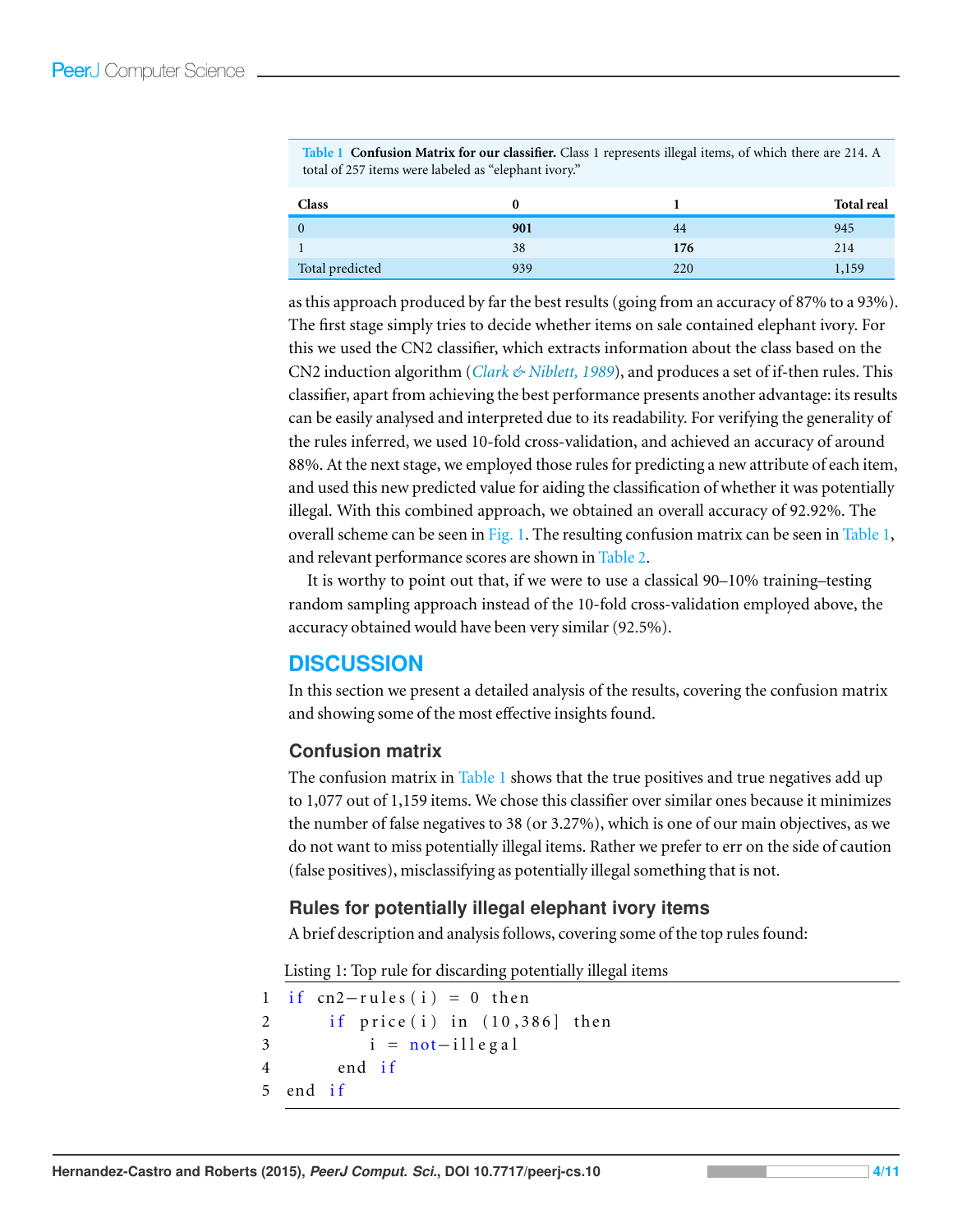| Class           |     |     | <b>Total real</b> |
|-----------------|-----|-----|-------------------|
| $\mathbf{0}$    | 901 | 44  | 945               |
|                 | 38  | 176 | 214               |
| Total predicted | 939 | 220 | 1,159             |

<span id="page-4-0"></span>**Table 1 Confusion Matrix for our classifier.** Class 1 represents illegal items, of which there are 214. A total of 257 items were labeled as "elephant ivory."

as this approach produced by far the best results (going from an accuracy of 87% to a 93%). The first stage simply tries to decide whether items on sale contained elephant ivory. For this we used the CN2 classifier, which extracts information about the class based on the CN2 induction algorithm (*[Clark & Niblett, 1989](#page-9-8)*), and produces a set of if-then rules. This classifier, apart from achieving the best performance presents another advantage: its results can be easily analysed and interpreted due to its readability. For verifying the generality of the rules inferred, we used 10-fold cross-validation, and achieved an accuracy of around 88%. At the next stage, we employed those rules for predicting a new attribute of each item, and used this new predicted value for aiding the classification of whether it was potentially illegal. With this combined approach, we obtained an overall accuracy of 92.92%. The overall scheme can be seen in [Fig. 1.](#page-4-0) The resulting confusion matrix can be seen in [Table 1,](#page-3-0) and relevant performance scores are shown in [Table 2.](#page-5-0)

It is worthy to point out that, if we were to use a classical 90–10% training–testing random sampling approach instead of the 10-fold cross-validation employed above, the accuracy obtained would have been very similar (92.5%).

#### **DISCUSSION**

In this section we present a detailed analysis of the results, covering the confusion matrix and showing some of the most effective insights found.

#### **Confusion matrix**

The confusion matrix in [Table 1](#page-3-0) shows that the true positives and true negatives add up to 1,077 out of 1,159 items. We chose this classifier over similar ones because it minimizes the number of false negatives to 38 (or 3.27%), which is one of our main objectives, as we do not want to miss potentially illegal items. Rather we prefer to err on the side of caution (false positives), misclassifying as potentially illegal something that is not.

#### **Rules for potentially illegal elephant ivory items**

A brief description and analysis follows, covering some of the top rules found:

Listing 1: Top rule for discarding potentially illegal items

```
1 if cn2-rules (i) = 0 then
2 if price(i) in (10, 386) then
3 \quad i = \text{not}-i \, \text{le gal}4 end if
5 end if
```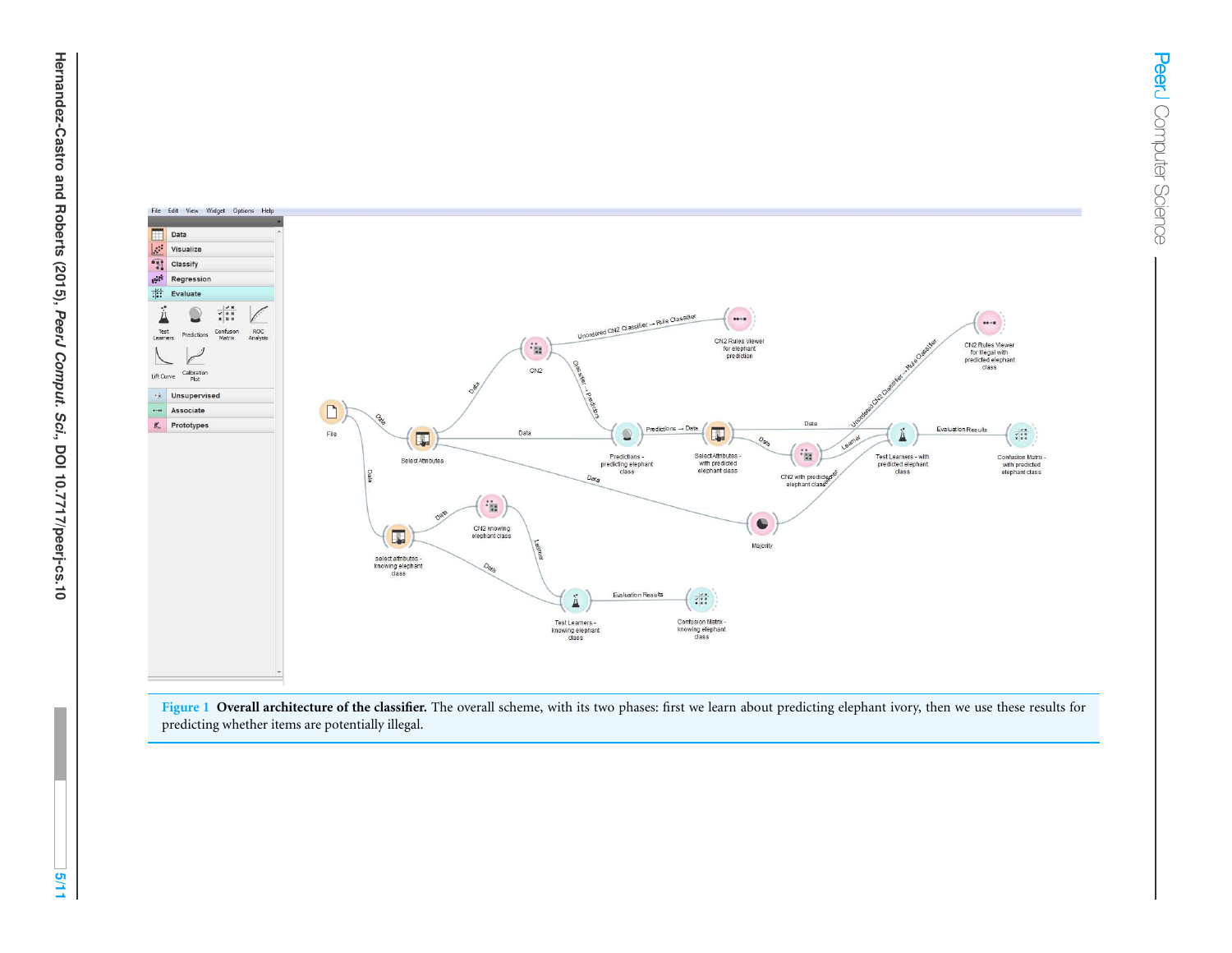<span id="page-5-0"></span>

**Figure 1 Overall architecture of the classifier.** The overall scheme, with its two phases: first we learn about predicting elephant ivory, then we use these results for predicting whether items are potentially illegal.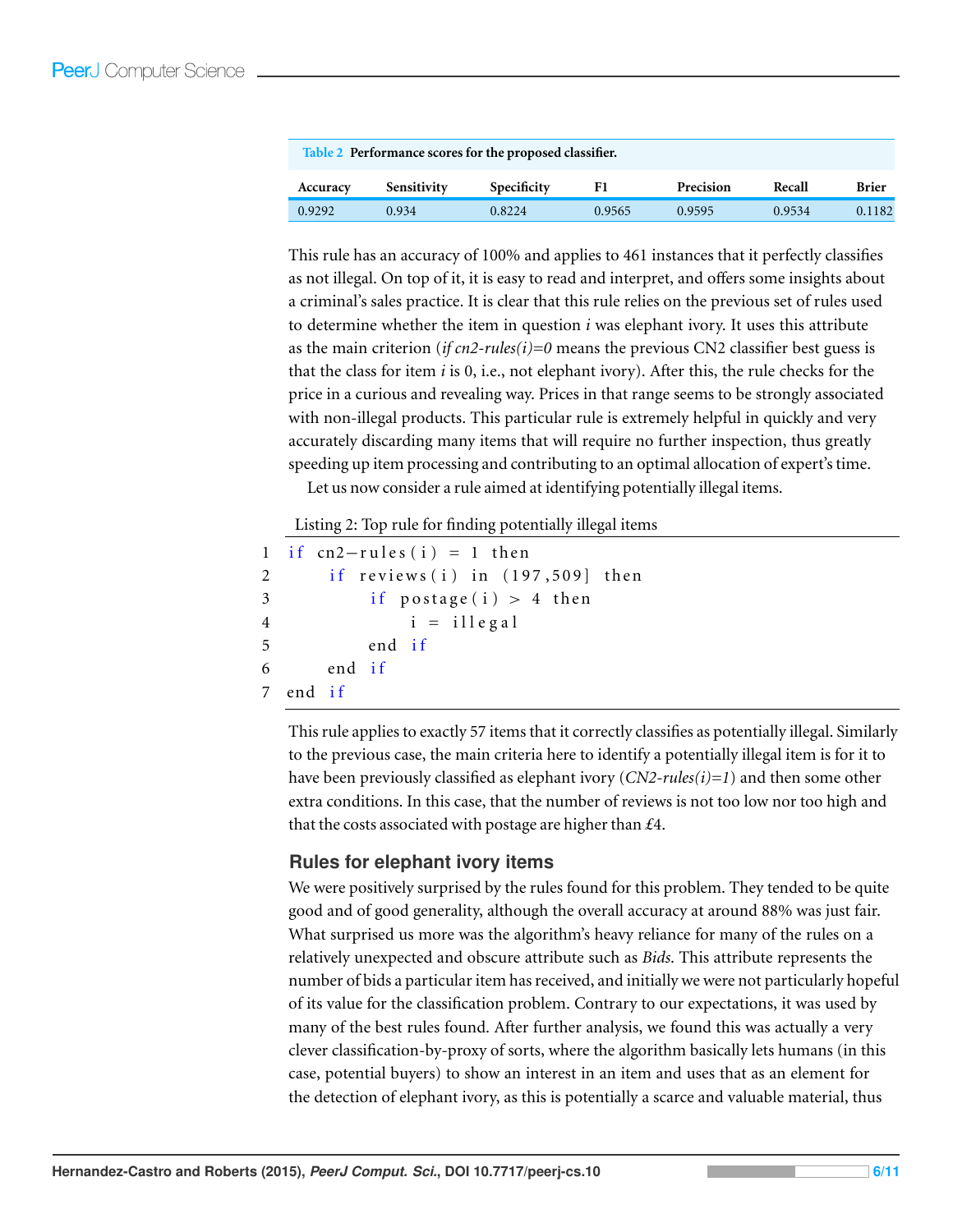<span id="page-6-0"></span>

| Table 2 Performance scores for the proposed classifier. |             |             |        |           |        |              |  |  |
|---------------------------------------------------------|-------------|-------------|--------|-----------|--------|--------------|--|--|
| Accuracy                                                | Sensitivity | Specificity | F1     | Precision | Recall | <b>Brier</b> |  |  |
| 0.9292                                                  | 0.934       | 0.8224      | 0.9565 | 0.9595    | 0.9534 | 0.1182       |  |  |

This rule has an accuracy of 100% and applies to 461 instances that it perfectly classifies as not illegal. On top of it, it is easy to read and interpret, and offers some insights about a criminal's sales practice. It is clear that this rule relies on the previous set of rules used to determine whether the item in question *i* was elephant ivory. It uses this attribute as the main criterion (*if cn2-rules*( $i$ )=0 means the previous CN2 classifier best guess is that the class for item *i* is 0, i.e., not elephant ivory). After this, the rule checks for the price in a curious and revealing way. Prices in that range seems to be strongly associated with non-illegal products. This particular rule is extremely helpful in quickly and very accurately discarding many items that will require no further inspection, thus greatly speeding up item processing and contributing to an optimal allocation of expert's time.

Let us now consider a rule aimed at identifying potentially illegal items.

Listing 2: Top rule for finding potentially illegal items

```
1 if cn2-rules (i) = 1 then
2 if reviews(i) in (197, 509) then
3 if postage (i) > 4 then
4 i = i \lfloor \log a \rfloor5 end if
6 end if
7 end if
```
This rule applies to exactly 57 items that it correctly classifies as potentially illegal. Similarly to the previous case, the main criteria here to identify a potentially illegal item is for it to have been previously classified as elephant ivory (*CN2-rules(i)=1*) and then some other extra conditions. In this case, that the number of reviews is not too low nor too high and that the costs associated with postage are higher than *£*4.

#### **Rules for elephant ivory items**

We were positively surprised by the rules found for this problem. They tended to be quite good and of good generality, although the overall accuracy at around 88% was just fair. What surprised us more was the algorithm's heavy reliance for many of the rules on a relatively unexpected and obscure attribute such as *Bids*. This attribute represents the number of bids a particular item has received, and initially we were not particularly hopeful of its value for the classification problem. Contrary to our expectations, it was used by many of the best rules found. After further analysis, we found this was actually a very clever classification-by-proxy of sorts, where the algorithm basically lets humans (in this case, potential buyers) to show an interest in an item and uses that as an element for the detection of elephant ivory, as this is potentially a scarce and valuable material, thus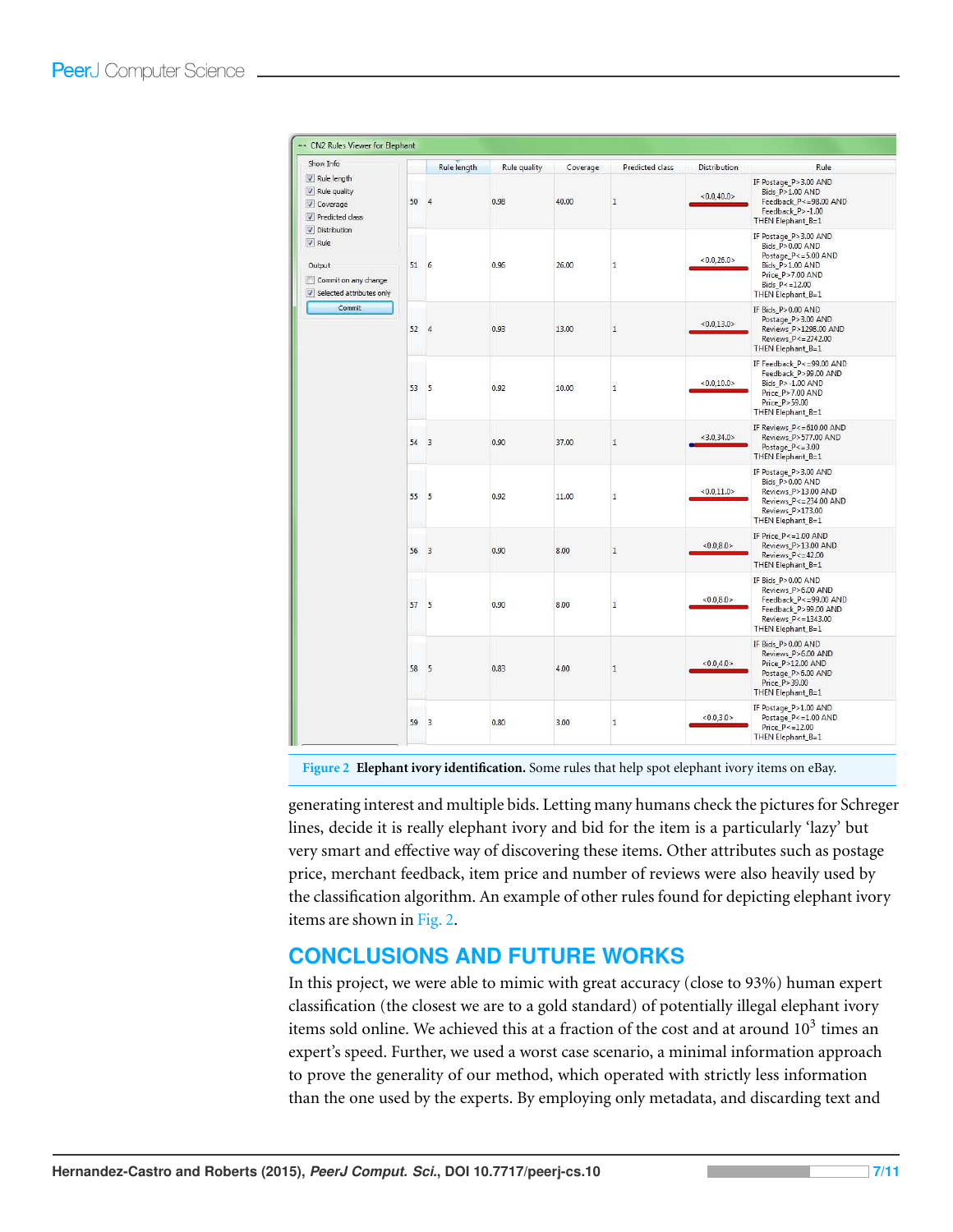<span id="page-7-0"></span>

| --- CN2 Rules Viewer for Elephant                                                                                                                                           |                 |                    |              |          |                 |                  |                                                                                                                                                   |
|-----------------------------------------------------------------------------------------------------------------------------------------------------------------------------|-----------------|--------------------|--------------|----------|-----------------|------------------|---------------------------------------------------------------------------------------------------------------------------------------------------|
| Show Info                                                                                                                                                                   |                 | <b>Rule length</b> | Rule quality | Coverage | Predicted class | Distribution     | Rule                                                                                                                                              |
| V Rule length<br>V Rule quality<br><b>V</b> Coverage<br>Predicted class<br>V Distribution<br>V Rule<br>Output<br>Commit on any change<br>Selected attributes only<br>Commit | 50 4            |                    | 0.98         | 40.00    | $\mathbf{1}$    | < 0.040.0        | IF Postage P>3.00 AND<br>Bids_P>1.00 AND<br>Feedback_P<=98.00 AND<br>Feedback P>-1.00<br>THEN Elephant_B=1                                        |
|                                                                                                                                                                             | 51 6            |                    | 0.96         | 26.00    | $\mathbf{1}$    | <0.0.26.0>       | IF Postage_P>3.00 AND<br>Bids_P>0.00 AND<br>Postage_P<=5.00 AND<br>Bids P>1.00 AND<br>Price P>7.00 AND<br>Bids $P \le 12.00$<br>THEN Elephant_B=1 |
|                                                                                                                                                                             | 524             |                    | 0.93         | 13.00    | $\mathbf{1}$    | < 0.013.0        | IF Bids_P>0.00 AND<br>Postage_P>3.00 AND<br>Reviews P>1298.00 AND<br>Reviews_P<=2742.00<br>THEN Elephant_B=1                                      |
|                                                                                                                                                                             | 53 5            |                    | 0.92         | 10.00    | $\mathbf{1}$    | <0.0,10.0>       | IF Feedback_P<=99.00 AND<br>Feedback_P>99.00 AND<br>Bids P>-1.00 AND<br>Price P>7.00 AND<br>Price P>59.00<br>THEN Elephant_B=1                    |
|                                                                                                                                                                             | 54 3            |                    | 0.90         | 37.00    | $\,$ 1 $\,$     | $<$ 3.0,34.0 $>$ | IF Reviews_P<=610.00 AND<br>Reviews_P>577.00 AND<br>Postage P<=3.00<br>THEN Elephant_B=1                                                          |
|                                                                                                                                                                             | 55              | 5                  | 0.92         | 11.00    | $\mathbf{1}$    | < 0.011.0 >      | IF Postage P>3.00 AND<br>Bids P>0.00 AND<br>Reviews_P>13.00 AND<br>Reviews_P<=234.00 AND<br>Reviews_P>173.00<br>THEN Elephant_B=1                 |
|                                                                                                                                                                             | 56 <sub>3</sub> |                    | 0.90         | 8.00     | $1\,$           | <0.0, 8.0>       | IF Price $P \le 1.00$ AND<br>Reviews_P>13.00 AND<br>Reviews_P<=42.00<br>THEN Elephant_B=1                                                         |
|                                                                                                                                                                             | 57 5            |                    | 0.90         | 8.00     | $\mathbf{1}$    | <0.0, 8.0>       | IF Bids P>0.00 AND<br>Reviews_P>6.00 AND<br>Feedback_P<=99.00 AND<br>Feedback_P>99.00 AND<br>Reviews P<=1343.00<br>THEN Elephant_B=1              |
|                                                                                                                                                                             | 58 5            |                    | 0.83         | 4.00     | $\mathbf{1}$    | < 0.0.4.0        | IF Bids P>0.00 AND<br>Reviews P>6.00 AND<br>Price_P>12.00 AND<br>Postage P>6.00 AND<br>Price_P>39.00<br>THEN Elephant_B=1                         |
|                                                                                                                                                                             | 59 3            |                    | 0.80         | 3.00     | 1               | < 0.030          | IF Postage P>1.00 AND<br>Postage_P<=1.00 AND<br>Price_P<=12.00<br>THEN Elephant_B=1                                                               |

**Figure 2 Elephant ivory identification.** Some rules that help spot elephant ivory items on eBay.

generating interest and multiple bids. Letting many humans check the pictures for Schreger lines, decide it is really elephant ivory and bid for the item is a particularly 'lazy' but very smart and effective way of discovering these items. Other attributes such as postage price, merchant feedback, item price and number of reviews were also heavily used by the classification algorithm. An example of other rules found for depicting elephant ivory items are shown in [Fig. 2.](#page-6-0)

#### **CONCLUSIONS AND FUTURE WORKS**

In this project, we were able to mimic with great accuracy (close to 93%) human expert classification (the closest we are to a gold standard) of potentially illegal elephant ivory items sold online. We achieved this at a fraction of the cost and at around  $10^3$  times an expert's speed. Further, we used a worst case scenario, a minimal information approach to prove the generality of our method, which operated with strictly less information than the one used by the experts. By employing only metadata, and discarding text and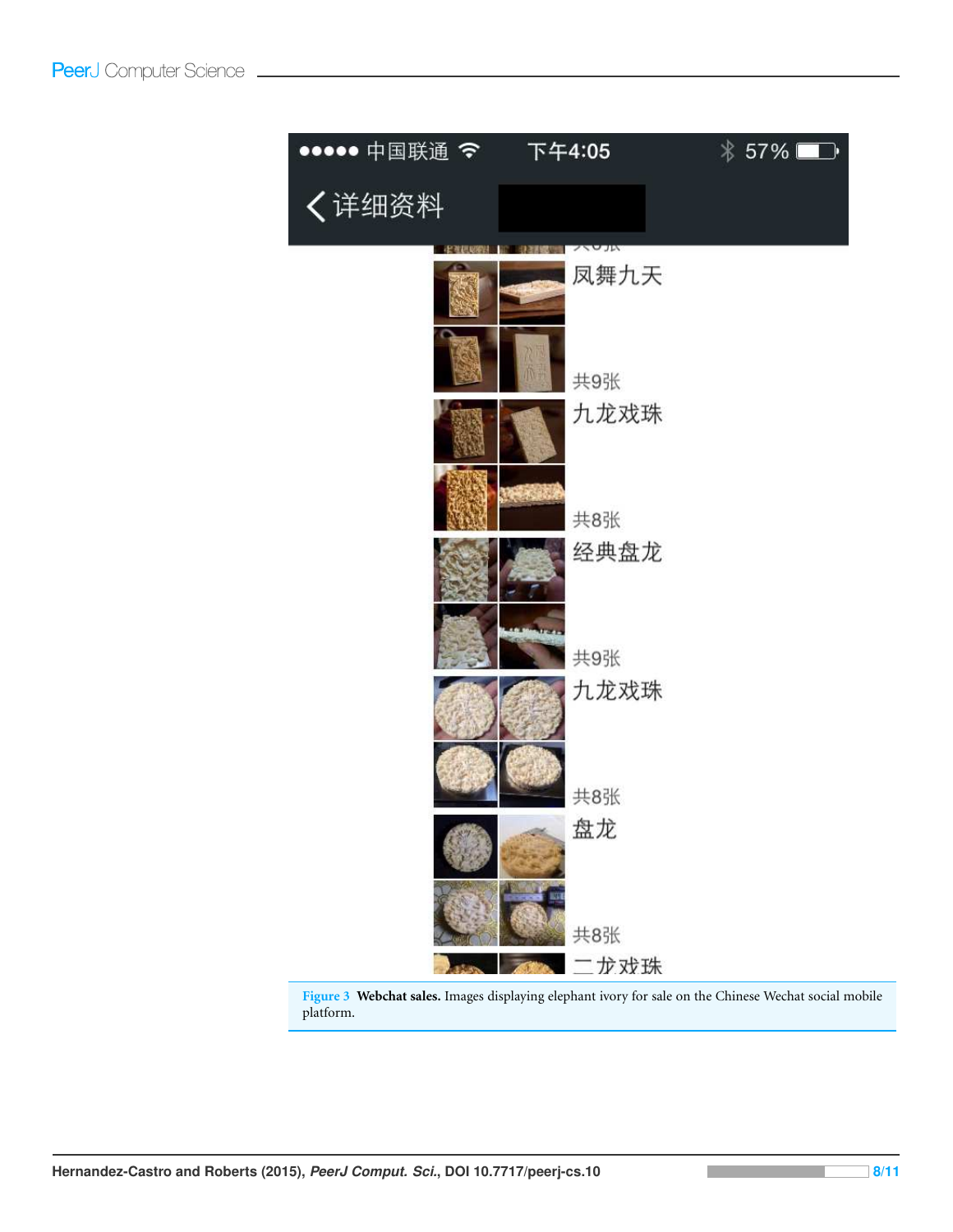

<span id="page-8-0"></span>**Figure 3 Webchat sales.** Images displaying elephant ivory for sale on the Chinese Wechat social mobile platform.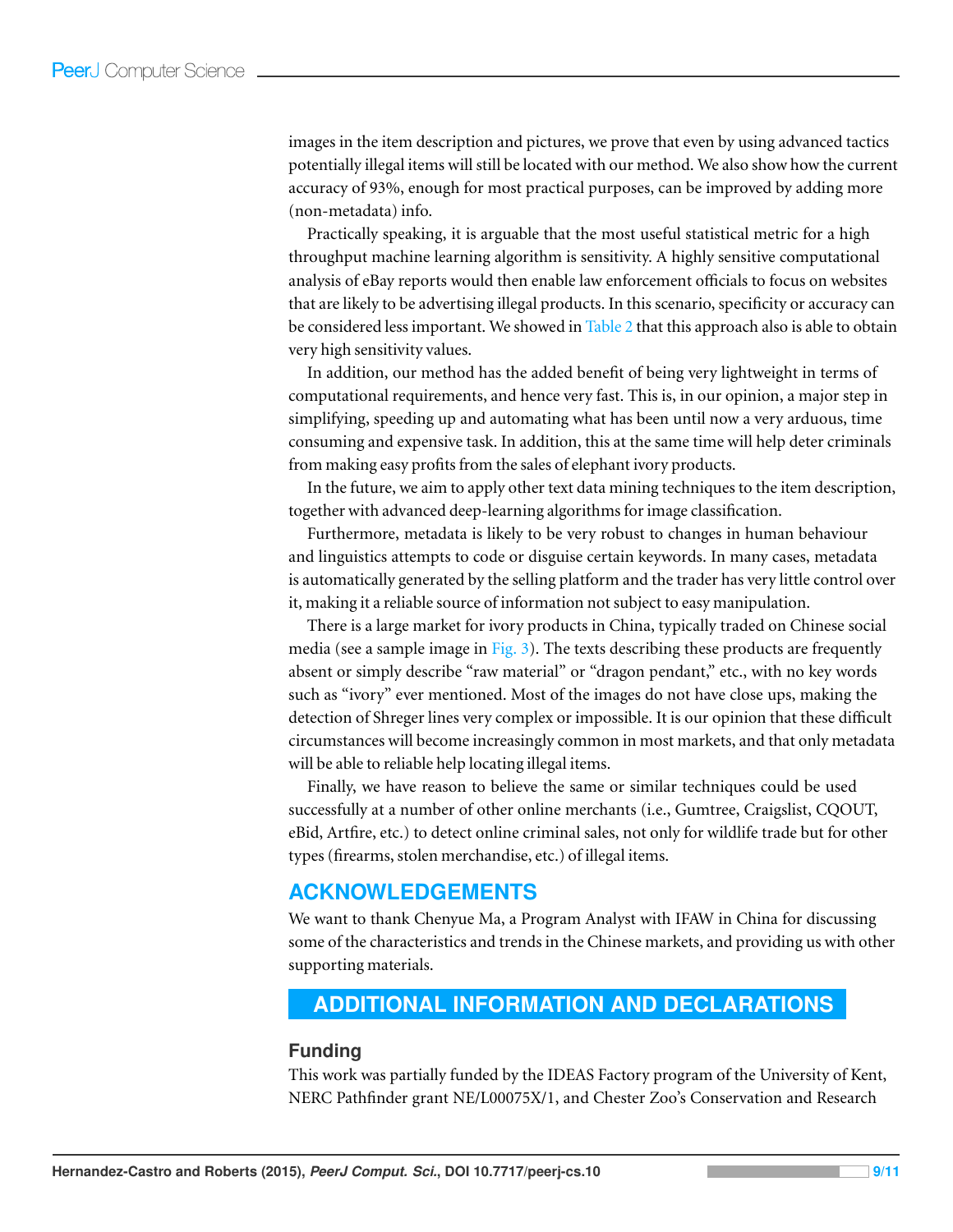images in the item description and pictures, we prove that even by using advanced tactics potentially illegal items will still be located with our method. We also show how the current accuracy of 93%, enough for most practical purposes, can be improved by adding more (non-metadata) info.

Practically speaking, it is arguable that the most useful statistical metric for a high throughput machine learning algorithm is sensitivity. A highly sensitive computational analysis of eBay reports would then enable law enforcement officials to focus on websites that are likely to be advertising illegal products. In this scenario, specificity or accuracy can be considered less important. We showed in [Table 2](#page-5-0) that this approach also is able to obtain very high sensitivity values.

In addition, our method has the added benefit of being very lightweight in terms of computational requirements, and hence very fast. This is, in our opinion, a major step in simplifying, speeding up and automating what has been until now a very arduous, time consuming and expensive task. In addition, this at the same time will help deter criminals from making easy profits from the sales of elephant ivory products.

In the future, we aim to apply other text data mining techniques to the item description, together with advanced deep-learning algorithms for image classification.

Furthermore, metadata is likely to be very robust to changes in human behaviour and linguistics attempts to code or disguise certain keywords. In many cases, metadata is automatically generated by the selling platform and the trader has very little control over it, making it a reliable source of information not subject to easy manipulation.

<span id="page-9-8"></span><span id="page-9-7"></span><span id="page-9-1"></span>There is a large market for ivory products in China, typically traded on Chinese social media (see a sample image in [Fig. 3\)](#page-7-0). The texts describing these products are frequently absent or simply describe "raw material" or "dragon pendant," etc., with no key words such as "ivory" ever mentioned. Most of the images do not have close ups, making the detection of Shreger lines very complex or impossible. It is our opinion that these difficult circumstances will become increasingly common in most markets, and that only metadata will be able to reliable help locating illegal items.

<span id="page-9-6"></span><span id="page-9-0"></span>Finally, we have reason to believe the same or similar techniques could be used successfully at a number of other online merchants (i.e., Gumtree, Craigslist, CQOUT, eBid, Artfire, etc.) to detect online criminal sales, not only for wildlife trade but for other types (firearms, stolen merchandise, etc.) of illegal items.

#### <span id="page-9-2"></span>**ACKNOWLEDGEMENTS**

<span id="page-9-5"></span>We want to thank Chenyue Ma, a Program Analyst with IFAW in China for discussing some of the characteristics and trends in the Chinese markets, and providing us with other supporting materials.

## <span id="page-9-4"></span>**ADDITIONAL INFORMATION AND DECLARATIONS**

#### <span id="page-9-3"></span>**Funding**

This work was partially funded by the IDEAS Factory program of the University of Kent, NERC Pathfinder grant NE/L00075X/1, and Chester Zoo's Conservation and Research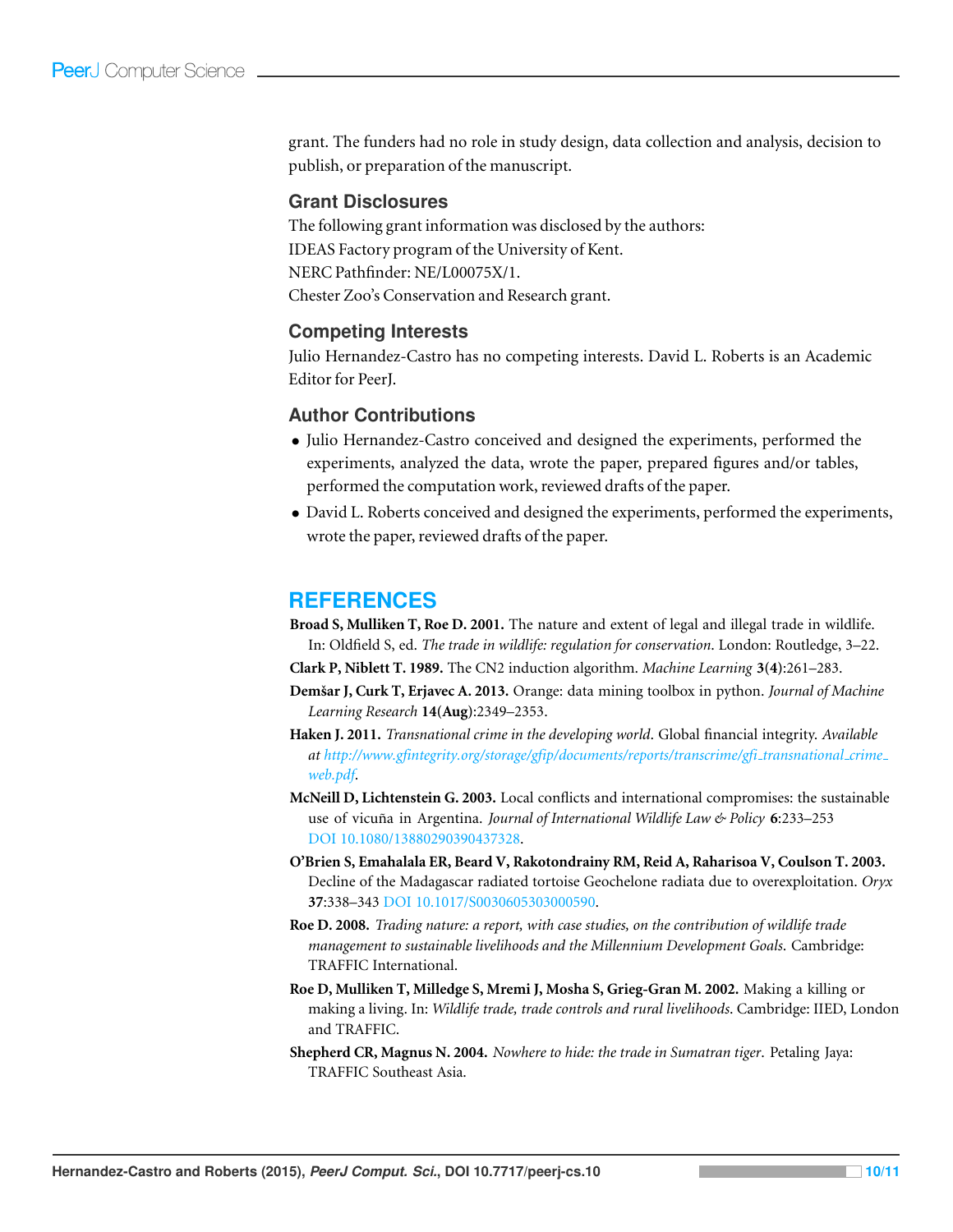<span id="page-10-0"></span>grant. The funders had no role in study design, data collection and analysis, decision to publish, or preparation of the manuscript.

#### <span id="page-10-1"></span>**Grant Disclosures**

The following grant information was disclosed by the authors: IDEAS Factory program of the University of Kent. NERC Pathfinder: NE/L00075X/1. Chester Zoo's Conservation and Research grant.

#### **Competing Interests**

Julio Hernandez-Castro has no competing interests. David L. Roberts is an Academic Editor for PeerJ.

#### **Author Contributions**

- Julio Hernandez-Castro conceived and designed the experiments, performed the experiments, analyzed the data, wrote the paper, prepared figures and/or tables, performed the computation work, reviewed drafts of the paper.
- David L. Roberts conceived and designed the experiments, performed the experiments, wrote the paper, reviewed drafts of the paper.

#### **REFERENCES**

- **Broad S, Mulliken T, Roe D. 2001.** The nature and extent of legal and illegal trade in wildlife. In: Oldfield S, ed. *The trade in wildlife: regulation for conservation*. London: Routledge, 3–22.
- **Clark P, Niblett T. 1989.** The CN2 induction algorithm. *Machine Learning* **3(4)**:261–283.
- **Demsar J, Curk T, Erjavec A. 2013. ˇ** Orange: data mining toolbox in python. *Journal of Machine Learning Research* **14(Aug)**:2349–2353.
- **Haken J. 2011.** *Transnational crime in the developing world*. Global financial integrity. *Available at [http://www.gfintegrity.org/storage/gfip/documents/reports/transcrime/gfi](http://www.gfintegrity.org/storage/gfip/documents/reports/transcrime/gfi_transnational_crime_web.pdf) [transnational](http://www.gfintegrity.org/storage/gfip/documents/reports/transcrime/gfi_transnational_crime_web.pdf) [crime](http://www.gfintegrity.org/storage/gfip/documents/reports/transcrime/gfi_transnational_crime_web.pdf) [web.pdf](http://www.gfintegrity.org/storage/gfip/documents/reports/transcrime/gfi_transnational_crime_web.pdf)*.
- **McNeill D, Lichtenstein G. 2003.** Local conflicts and international compromises: the sustainable use of vicuña in Argentina. Journal of International Wildlife Law & Policy 6:233-253 DOI [10.1080/13880290390437328.](http://dx.doi.org/10.1080/13880290390437328)
- **O'Brien S, Emahalala ER, Beard V, Rakotondrainy RM, Reid A, Raharisoa V, Coulson T. 2003.** Decline of the Madagascar radiated tortoise Geochelone radiata due to overexploitation. *Oryx* **37**:338–343 DOI [10.1017/S0030605303000590.](http://dx.doi.org/10.1017/S0030605303000590)
- **Roe D. 2008.** *Trading nature: a report, with case studies, on the contribution of wildlife trade management to sustainable livelihoods and the Millennium Development Goals*. Cambridge: TRAFFIC International.
- **Roe D, Mulliken T, Milledge S, Mremi J, Mosha S, Grieg-Gran M. 2002.** Making a killing or making a living. In: *Wildlife trade, trade controls and rural livelihoods*. Cambridge: IIED, London and TRAFFIC.
- **Shepherd CR, Magnus N. 2004.** *Nowhere to hide: the trade in Sumatran tiger*. Petaling Jaya: TRAFFIC Southeast Asia.